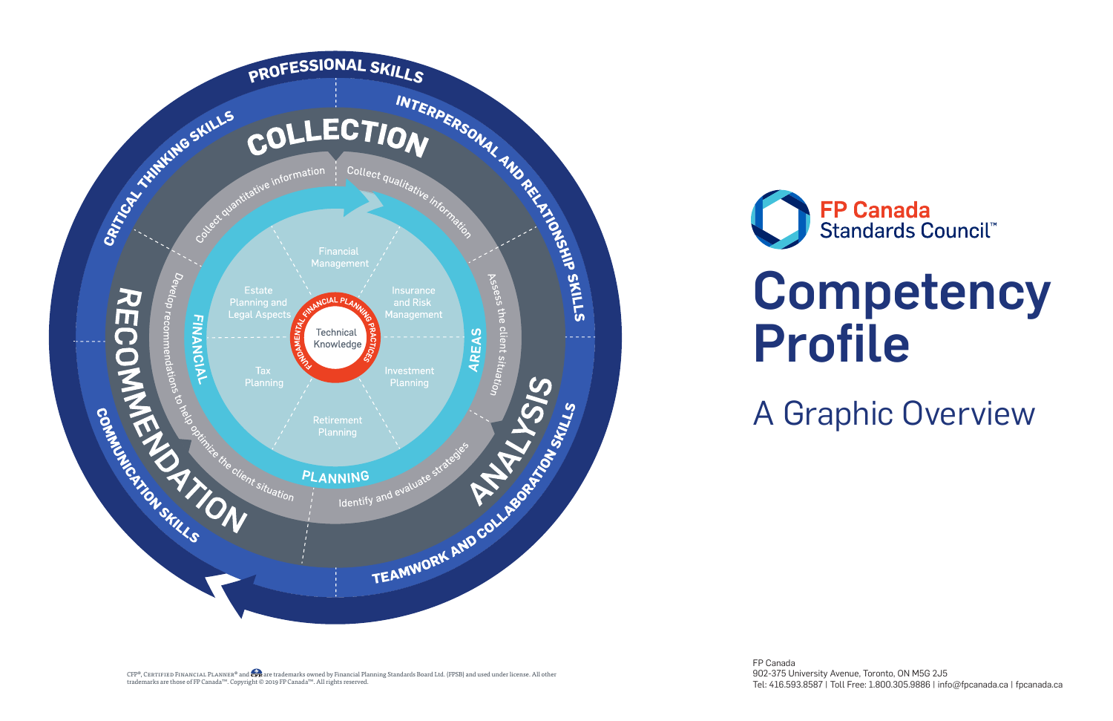**FP Canada**<br>Standards Council™ Competency Profile A Graphic Overview

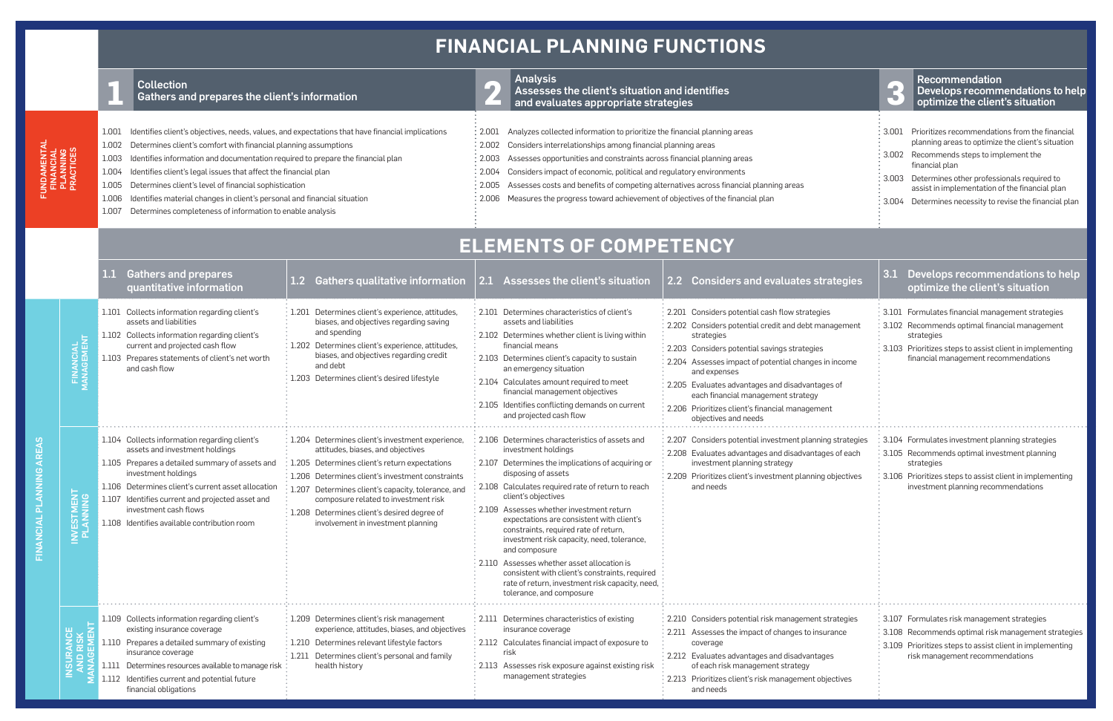FINANCIAL PLANNING AREAS

FINANCIAL PLANNING AREAS

|                                    |                               | <b>Collection</b><br>Gathers and prepares the client's information                                                                                                                                                                                                                                                                                                                                                                                                                                                                                                                         |                                                                                                                                                                                                                                                                                                                                                                                               | $\overline{\phantom{a}}$                                                                                                                                                                                                                                                                                                                                                                                                                                                                                                            | <b>Analysis</b><br>Assesses the client's situation and identifies<br>and evaluates appropriate strategies                                                                                                                                                                                                                                                                                                                                                                                                                                                                                               |                                                                                                                                                                                                                                                                                                                                                                                                                  | Lp.                                                                                                                                                                                                                                                                                                             | <b>Recommendation</b><br>Develops recommendations to help<br>optimize the client's situation                                                                                                                        |
|------------------------------------|-------------------------------|--------------------------------------------------------------------------------------------------------------------------------------------------------------------------------------------------------------------------------------------------------------------------------------------------------------------------------------------------------------------------------------------------------------------------------------------------------------------------------------------------------------------------------------------------------------------------------------------|-----------------------------------------------------------------------------------------------------------------------------------------------------------------------------------------------------------------------------------------------------------------------------------------------------------------------------------------------------------------------------------------------|-------------------------------------------------------------------------------------------------------------------------------------------------------------------------------------------------------------------------------------------------------------------------------------------------------------------------------------------------------------------------------------------------------------------------------------------------------------------------------------------------------------------------------------|---------------------------------------------------------------------------------------------------------------------------------------------------------------------------------------------------------------------------------------------------------------------------------------------------------------------------------------------------------------------------------------------------------------------------------------------------------------------------------------------------------------------------------------------------------------------------------------------------------|------------------------------------------------------------------------------------------------------------------------------------------------------------------------------------------------------------------------------------------------------------------------------------------------------------------------------------------------------------------------------------------------------------------|-----------------------------------------------------------------------------------------------------------------------------------------------------------------------------------------------------------------------------------------------------------------------------------------------------------------|---------------------------------------------------------------------------------------------------------------------------------------------------------------------------------------------------------------------|
| FINANCIAL<br>PLANNING<br>PRACTICES |                               | Identifies client's objectives, needs, values, and expectations that have financial implications<br>1.001<br>Determines client's comfort with financial planning assumptions<br>1.002<br>1.003<br>Identifies information and documentation required to prepare the financial plan<br>Identifies client's legal issues that affect the financial plan<br>1.004<br>Determines client's level of financial sophistication<br>1.005<br>Identifies material changes in client's personal and financial situation<br>1.006<br>1.007<br>Determines completeness of information to enable analysis |                                                                                                                                                                                                                                                                                                                                                                                               | Analyzes collected information to prioritize the financial planning areas<br>2.001<br>$\frac{1}{2}$ 2.002 Considers interrelationships among financial planning areas<br>Assesses opportunities and constraints across financial planning areas<br>2.003<br>Considers impact of economic, political and regulatory environments<br>2.004<br>Assesses costs and benefits of competing alternatives across financial planning areas<br>2.005<br>Measures the progress toward achievement of objectives of the financial plan<br>2.006 |                                                                                                                                                                                                                                                                                                                                                                                                                                                                                                                                                                                                         | 3.004                                                                                                                                                                                                                                                                                                                                                                                                            | Prioritizes recommendations from the financial<br>planning areas to optimize the client's situation<br>Recommends steps to implement the<br>financial plan<br>Determines other professionals required to<br>assist in implementation of the financial plan<br>Determines necessity to revise the financial plan |                                                                                                                                                                                                                     |
|                                    |                               | <b>ELEMENTS OF COMPETENCY</b>                                                                                                                                                                                                                                                                                                                                                                                                                                                                                                                                                              |                                                                                                                                                                                                                                                                                                                                                                                               |                                                                                                                                                                                                                                                                                                                                                                                                                                                                                                                                     |                                                                                                                                                                                                                                                                                                                                                                                                                                                                                                                                                                                                         |                                                                                                                                                                                                                                                                                                                                                                                                                  |                                                                                                                                                                                                                                                                                                                 |                                                                                                                                                                                                                     |
|                                    |                               | <b>Gathers and prepares</b><br>quantitative information                                                                                                                                                                                                                                                                                                                                                                                                                                                                                                                                    | 1.2 Gathers qualitative information                                                                                                                                                                                                                                                                                                                                                           | 2.1                                                                                                                                                                                                                                                                                                                                                                                                                                                                                                                                 | Assesses the client's situation                                                                                                                                                                                                                                                                                                                                                                                                                                                                                                                                                                         | 2.2 Considers and evaluates strategies                                                                                                                                                                                                                                                                                                                                                                           | 3.1                                                                                                                                                                                                                                                                                                             | Develops recommendations to help<br>optimize the client's situation                                                                                                                                                 |
|                                    |                               | 1.101 Collects information regarding client's<br>assets and liabilities<br>1.102 Collects information regarding client's<br>current and projected cash flow<br>1.103 Prepares statements of client's net worth<br>and cash flow                                                                                                                                                                                                                                                                                                                                                            | : 1.201 Determines client's experience, attitudes,<br>biases, and objectives regarding saving<br>and spending<br>$\frac{1}{2}$ 1.202 Determines client's experience, attitudes,<br>biases, and objectives regarding credit<br>and debt<br>1.203 Determines client's desired lifestyle                                                                                                         |                                                                                                                                                                                                                                                                                                                                                                                                                                                                                                                                     | 2.101 Determines characteristics of client's<br>assets and liabilities<br>2.102 Determines whether client is living within<br>financial means<br>2.103 Determines client's capacity to sustain<br>an emergency situation<br>2.104 Calculates amount required to meet<br>financial management objectives<br>2.105 Identifies conflicting demands on current<br>and projected cash flow                                                                                                                                                                                                                   | 2.201 Considers potential cash flow strategies<br>2.202 Considers potential credit and debt management<br>strategies<br>2.203 Considers potential savings strategies<br>2.204 Assesses impact of potential changes in income<br>and expenses<br>2.205 Evaluates advantages and disadvantages of<br>each financial management strategy<br>2.206 Prioritizes client's financial management<br>objectives and needs |                                                                                                                                                                                                                                                                                                                 | 3.101 Formulates financial management strategies<br>3.102 Recommends optimal financial management<br>strategies<br>3.103 Prioritizes steps to assist client in implementing<br>financial management recommendations |
|                                    | <b>INVESTMENT</b><br>PLANNING | 1.104 Collects information regarding client's<br>assets and investment holdings<br>1.105 Prepares a detailed summary of assets and<br>investment holdings<br>1.106 Determines client's current asset allocation<br>1.107 Identifies current and projected asset and<br>investment cash flows<br>1.108 Identifies available contribution room                                                                                                                                                                                                                                               | : 1.204 Determines client's investment experience,<br>attitudes, biases, and objectives<br>$\frac{1}{3}$ 1.205 Determines client's return expectations<br>1.206 Determines client's investment constraints<br>1.207 Determines client's capacity, tolerance, and<br>composure related to investment risk<br>1.208 Determines client's desired degree of<br>involvement in investment planning | 2.110                                                                                                                                                                                                                                                                                                                                                                                                                                                                                                                               | 2.106 Determines characteristics of assets and<br>investment holdings<br>2.107 Determines the implications of acquiring or<br>disposing of assets<br>2.108 Calculates required rate of return to reach<br>client's objectives<br>2.109 Assesses whether investment return<br>expectations are consistent with client's<br>constraints, required rate of return,<br>investment risk capacity, need, tolerance,<br>and composure<br>Assesses whether asset allocation is<br>consistent with client's constraints, required<br>rate of return, investment risk capacity, need,<br>tolerance, and composure | 2.207 Considers potential investment planning strategies<br>2.208 Evaluates advantages and disadvantages of each<br>investment planning strategy<br>2.209 Prioritizes client's investment planning objectives<br>and needs                                                                                                                                                                                       |                                                                                                                                                                                                                                                                                                                 | 3.104 Formulates investment planning strategies<br>3.105 Recommends optimal investment planning<br>strategies<br>3.106 Prioritizes steps to assist client in implementing<br>investment planning recommendations    |
|                                    | ပၤ                            | 1.109 Collects information regarding client's<br>existing insurance coverage<br>1.110 Prepares a detailed summary of existing<br>insurance coverage<br>1.111 Determines resources available to manage risk<br>1.112 Identifies current and potential future<br>financial obligations                                                                                                                                                                                                                                                                                                       | experience, attitudes, biases, and objectives<br>: 1.210 Determines relevant lifestyle factors<br>$\frac{1}{3}$ 1.211 Determines client's personal and family<br>health history                                                                                                                                                                                                               | 2.113                                                                                                                                                                                                                                                                                                                                                                                                                                                                                                                               | 2.111 Determines characteristics of existing<br>insurance coverage<br>2.112 Calculates financial impact of exposure to<br>risk<br>Assesses risk exposure against existing risk<br>management strategies                                                                                                                                                                                                                                                                                                                                                                                                 | 2.210 Considers potential risk management strategies<br>2.211 Assesses the impact of changes to insurance<br>coverage<br>2.212 Evaluates advantages and disadvantages<br>of each risk management strategy<br>2.213 Prioritizes client's risk management objectives<br>and needs                                                                                                                                  |                                                                                                                                                                                                                                                                                                                 | 3.107 Formulates risk management strategies<br>: 3.108 Recommends optimal risk management strategies<br>: 3.109 Prioritizes steps to assist client in implementing<br>risk management recommendations               |

## **FINANCIAL PLANNING FUNCTIONS**

FUNDAMENTAL

**UNDAMENTA** 

| 3.001 | Prioritizes recommendations from the financial<br>planning areas to optimize the client's situation |
|-------|-----------------------------------------------------------------------------------------------------|
| 3.002 | Recommends steps to implement the<br>financial plan                                                 |
| 3.003 | Determines other professionals required to<br>assist in implementation of the financial plan        |
| 3.004 | Determines necessity to revise the financial plar                                                   |